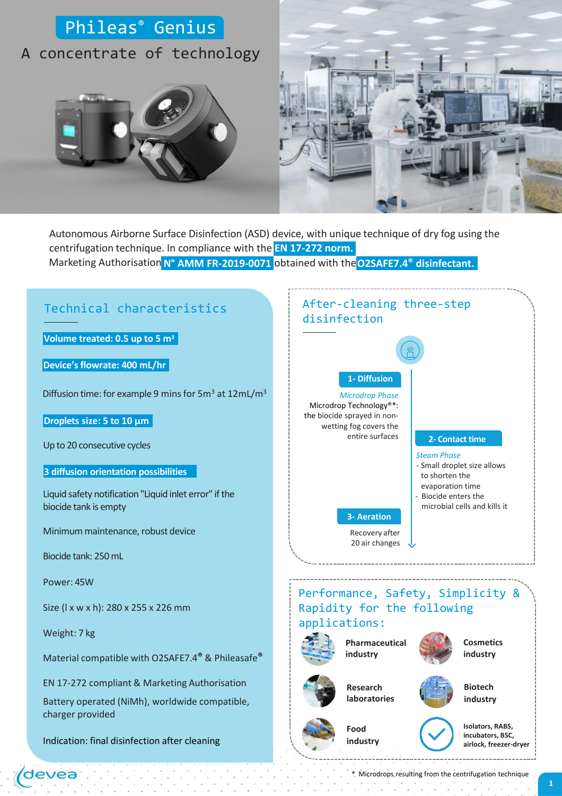

Marketing Authorisation **N° AMM FR-2019-0071** obtained with the**O2SAFE7.4® disinfectant.** Autonomous Airborne Surface Disinfection (ASD) device, with unique technique of dry fog using the centrifugation technique. In compliance with the **EN 17-272 norm.**